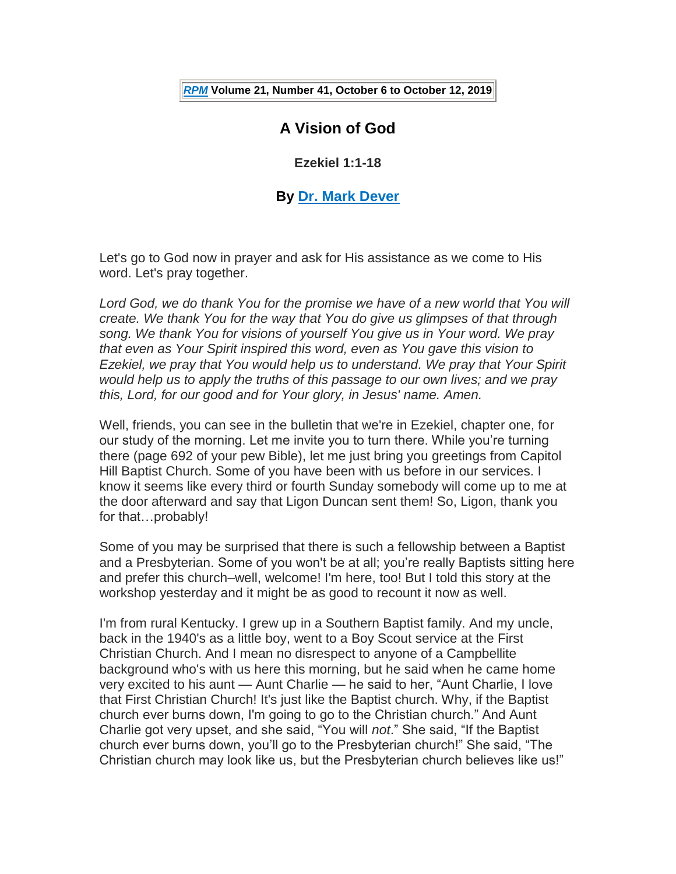*[RPM](http://www.reformedperspectives.org/)* **Volume 21, Number 41, October 6 to October 12, 2019**

# **A Vision of God**

**Ezekiel 1:1-18**

# **By [Dr. Mark Dever](http://thirdmill.org/magazine/search.asp/keyword/mar_daver/category/magazine/site/iiim/searchtype/articles/allarticles/1)**

Let's go to God now in prayer and ask for His assistance as we come to His word. Let's pray together.

Lord God, we do thank You for the promise we have of a new world that You will *create. We thank You for the way that You do give us glimpses of that through song. We thank You for visions of yourself You give us in Your word. We pray that even as Your Spirit inspired this word, even as You gave this vision to Ezekiel, we pray that You would help us to understand. We pray that Your Spirit would help us to apply the truths of this passage to our own lives; and we pray this, Lord, for our good and for Your glory, in Jesus' name. Amen.*

Well, friends, you can see in the bulletin that we're in Ezekiel, chapter one, for our study of the morning. Let me invite you to turn there. While you're turning there (page 692 of your pew Bible), let me just bring you greetings from Capitol Hill Baptist Church. Some of you have been with us before in our services. I know it seems like every third or fourth Sunday somebody will come up to me at the door afterward and say that Ligon Duncan sent them! So, Ligon, thank you for that…probably!

Some of you may be surprised that there is such a fellowship between a Baptist and a Presbyterian. Some of you won't be at all; you're really Baptists sitting here and prefer this church–well, welcome! I'm here, too! But I told this story at the workshop yesterday and it might be as good to recount it now as well.

I'm from rural Kentucky. I grew up in a Southern Baptist family. And my uncle, back in the 1940's as a little boy, went to a Boy Scout service at the First Christian Church. And I mean no disrespect to anyone of a Campbellite background who's with us here this morning, but he said when he came home very excited to his aunt — Aunt Charlie — he said to her, "Aunt Charlie, I love that First Christian Church! It's just like the Baptist church. Why, if the Baptist church ever burns down, I'm going to go to the Christian church." And Aunt Charlie got very upset, and she said, "You will *not*." She said, "If the Baptist church ever burns down, you'll go to the Presbyterian church!" She said, "The Christian church may look like us, but the Presbyterian church believes like us!"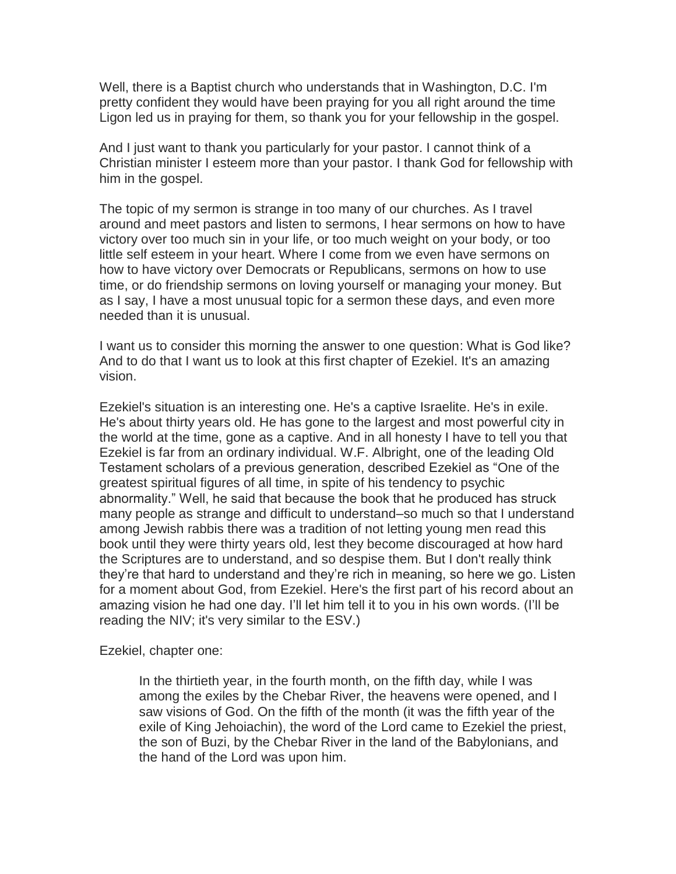Well, there is a Baptist church who understands that in Washington, D.C. I'm pretty confident they would have been praying for you all right around the time Ligon led us in praying for them, so thank you for your fellowship in the gospel.

And I just want to thank you particularly for your pastor. I cannot think of a Christian minister I esteem more than your pastor. I thank God for fellowship with him in the gospel.

The topic of my sermon is strange in too many of our churches. As I travel around and meet pastors and listen to sermons, I hear sermons on how to have victory over too much sin in your life, or too much weight on your body, or too little self esteem in your heart. Where I come from we even have sermons on how to have victory over Democrats or Republicans, sermons on how to use time, or do friendship sermons on loving yourself or managing your money. But as I say, I have a most unusual topic for a sermon these days, and even more needed than it is unusual.

I want us to consider this morning the answer to one question: What is God like? And to do that I want us to look at this first chapter of Ezekiel. It's an amazing vision.

Ezekiel's situation is an interesting one. He's a captive Israelite. He's in exile. He's about thirty years old. He has gone to the largest and most powerful city in the world at the time, gone as a captive. And in all honesty I have to tell you that Ezekiel is far from an ordinary individual. W.F. Albright, one of the leading Old Testament scholars of a previous generation, described Ezekiel as "One of the greatest spiritual figures of all time, in spite of his tendency to psychic abnormality." Well, he said that because the book that he produced has struck many people as strange and difficult to understand–so much so that I understand among Jewish rabbis there was a tradition of not letting young men read this book until they were thirty years old, lest they become discouraged at how hard the Scriptures are to understand, and so despise them. But I don't really think they're that hard to understand and they're rich in meaning, so here we go. Listen for a moment about God, from Ezekiel. Here's the first part of his record about an amazing vision he had one day. I'll let him tell it to you in his own words. (I'll be reading the NIV; it's very similar to the ESV.)

Ezekiel, chapter one:

In the thirtieth year, in the fourth month, on the fifth day, while I was among the exiles by the Chebar River, the heavens were opened, and I saw visions of God. On the fifth of the month (it was the fifth year of the exile of King Jehoiachin), the word of the Lord came to Ezekiel the priest, the son of Buzi, by the Chebar River in the land of the Babylonians, and the hand of the Lord was upon him.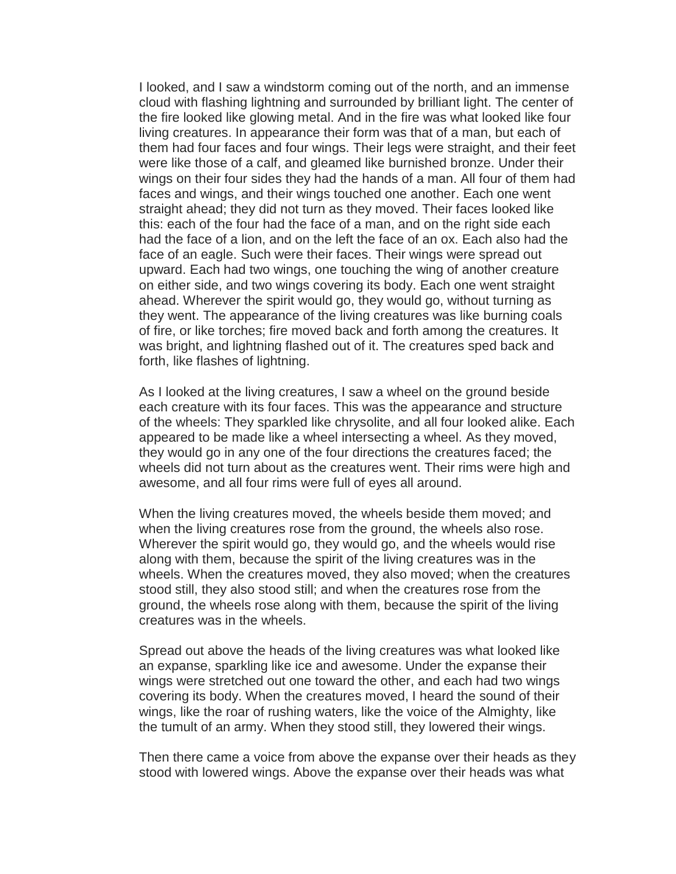I looked, and I saw a windstorm coming out of the north, and an immense cloud with flashing lightning and surrounded by brilliant light. The center of the fire looked like glowing metal. And in the fire was what looked like four living creatures. In appearance their form was that of a man, but each of them had four faces and four wings. Their legs were straight, and their feet were like those of a calf, and gleamed like burnished bronze. Under their wings on their four sides they had the hands of a man. All four of them had faces and wings, and their wings touched one another. Each one went straight ahead; they did not turn as they moved. Their faces looked like this: each of the four had the face of a man, and on the right side each had the face of a lion, and on the left the face of an ox. Each also had the face of an eagle. Such were their faces. Their wings were spread out upward. Each had two wings, one touching the wing of another creature on either side, and two wings covering its body. Each one went straight ahead. Wherever the spirit would go, they would go, without turning as they went. The appearance of the living creatures was like burning coals of fire, or like torches; fire moved back and forth among the creatures. It was bright, and lightning flashed out of it. The creatures sped back and forth, like flashes of lightning.

As I looked at the living creatures, I saw a wheel on the ground beside each creature with its four faces. This was the appearance and structure of the wheels: They sparkled like chrysolite, and all four looked alike. Each appeared to be made like a wheel intersecting a wheel. As they moved, they would go in any one of the four directions the creatures faced; the wheels did not turn about as the creatures went. Their rims were high and awesome, and all four rims were full of eyes all around.

When the living creatures moved, the wheels beside them moved; and when the living creatures rose from the ground, the wheels also rose. Wherever the spirit would go, they would go, and the wheels would rise along with them, because the spirit of the living creatures was in the wheels. When the creatures moved, they also moved; when the creatures stood still, they also stood still; and when the creatures rose from the ground, the wheels rose along with them, because the spirit of the living creatures was in the wheels.

Spread out above the heads of the living creatures was what looked like an expanse, sparkling like ice and awesome. Under the expanse their wings were stretched out one toward the other, and each had two wings covering its body. When the creatures moved, I heard the sound of their wings, like the roar of rushing waters, like the voice of the Almighty, like the tumult of an army. When they stood still, they lowered their wings.

Then there came a voice from above the expanse over their heads as they stood with lowered wings. Above the expanse over their heads was what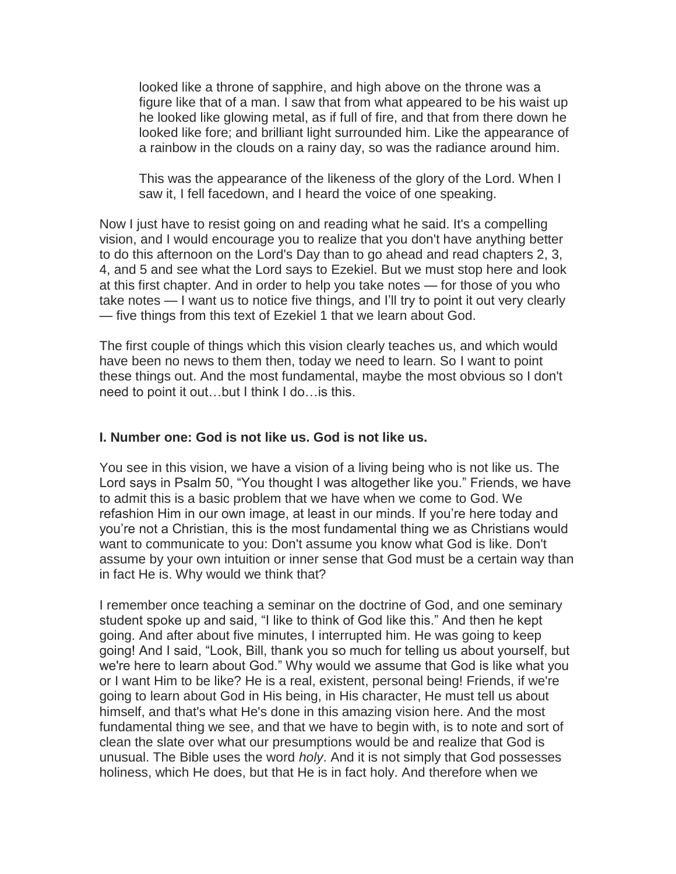looked like a throne of sapphire, and high above on the throne was a figure like that of a man. I saw that from what appeared to be his waist up he looked like glowing metal, as if full of fire, and that from there down he looked like fore; and brilliant light surrounded him. Like the appearance of a rainbow in the clouds on a rainy day, so was the radiance around him.

This was the appearance of the likeness of the glory of the Lord. When I saw it, I fell facedown, and I heard the voice of one speaking.

Now I just have to resist going on and reading what he said. It's a compelling vision, and I would encourage you to realize that you don't have anything better to do this afternoon on the Lord's Day than to go ahead and read chapters 2, 3, 4, and 5 and see what the Lord says to Ezekiel. But we must stop here and look at this first chapter. And in order to help you take notes — for those of you who take notes — I want us to notice five things, and I'll try to point it out very clearly — five things from this text of Ezekiel 1 that we learn about God.

The first couple of things which this vision clearly teaches us, and which would have been no news to them then, today we need to learn. So I want to point these things out. And the most fundamental, maybe the most obvious so I don't need to point it out…but I think I do…is this.

### **I. Number one: God is not like us. God is not like us.**

You see in this vision, we have a vision of a living being who is not like us. The Lord says in Psalm 50, "You thought I was altogether like you." Friends, we have to admit this is a basic problem that we have when we come to God. We refashion Him in our own image, at least in our minds. If you're here today and you're not a Christian, this is the most fundamental thing we as Christians would want to communicate to you: Don't assume you know what God is like. Don't assume by your own intuition or inner sense that God must be a certain way than in fact He is. Why would we think that?

I remember once teaching a seminar on the doctrine of God, and one seminary student spoke up and said, "I like to think of God like this." And then he kept going. And after about five minutes, I interrupted him. He was going to keep going! And I said, "Look, Bill, thank you so much for telling us about yourself, but we're here to learn about God." Why would we assume that God is like what you or I want Him to be like? He is a real, existent, personal being! Friends, if we're going to learn about God in His being, in His character, He must tell us about himself, and that's what He's done in this amazing vision here. And the most fundamental thing we see, and that we have to begin with, is to note and sort of clean the slate over what our presumptions would be and realize that God is unusual. The Bible uses the word *holy*. And it is not simply that God possesses holiness, which He does, but that He is in fact holy. And therefore when we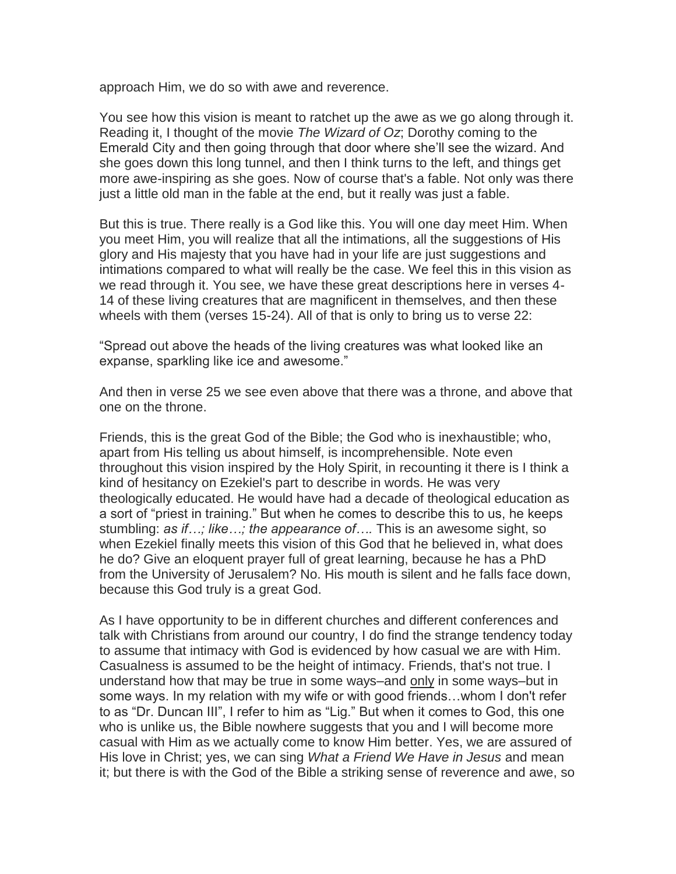approach Him, we do so with awe and reverence.

You see how this vision is meant to ratchet up the awe as we go along through it. Reading it, I thought of the movie *The Wizard of Oz*; Dorothy coming to the Emerald City and then going through that door where she'll see the wizard. And she goes down this long tunnel, and then I think turns to the left, and things get more awe-inspiring as she goes. Now of course that's a fable. Not only was there just a little old man in the fable at the end, but it really was just a fable.

But this is true. There really is a God like this. You will one day meet Him. When you meet Him, you will realize that all the intimations, all the suggestions of His glory and His majesty that you have had in your life are just suggestions and intimations compared to what will really be the case. We feel this in this vision as we read through it. You see, we have these great descriptions here in verses 4- 14 of these living creatures that are magnificent in themselves, and then these wheels with them (verses 15-24). All of that is only to bring us to verse 22:

"Spread out above the heads of the living creatures was what looked like an expanse, sparkling like ice and awesome."

And then in verse 25 we see even above that there was a throne, and above that one on the throne.

Friends, this is the great God of the Bible; the God who is inexhaustible; who, apart from His telling us about himself, is incomprehensible. Note even throughout this vision inspired by the Holy Spirit, in recounting it there is I think a kind of hesitancy on Ezekiel's part to describe in words. He was very theologically educated. He would have had a decade of theological education as a sort of "priest in training." But when he comes to describe this to us, he keeps stumbling: *as if…; like…; the appearance of….* This is an awesome sight, so when Ezekiel finally meets this vision of this God that he believed in, what does he do? Give an eloquent prayer full of great learning, because he has a PhD from the University of Jerusalem? No. His mouth is silent and he falls face down, because this God truly is a great God.

As I have opportunity to be in different churches and different conferences and talk with Christians from around our country, I do find the strange tendency today to assume that intimacy with God is evidenced by how casual we are with Him. Casualness is assumed to be the height of intimacy. Friends, that's not true. I understand how that may be true in some ways–and only in some ways–but in some ways. In my relation with my wife or with good friends…whom I don't refer to as "Dr. Duncan III", I refer to him as "Lig." But when it comes to God, this one who is unlike us, the Bible nowhere suggests that you and I will become more casual with Him as we actually come to know Him better. Yes, we are assured of His love in Christ; yes, we can sing *What a Friend We Have in Jesus* and mean it; but there is with the God of the Bible a striking sense of reverence and awe, so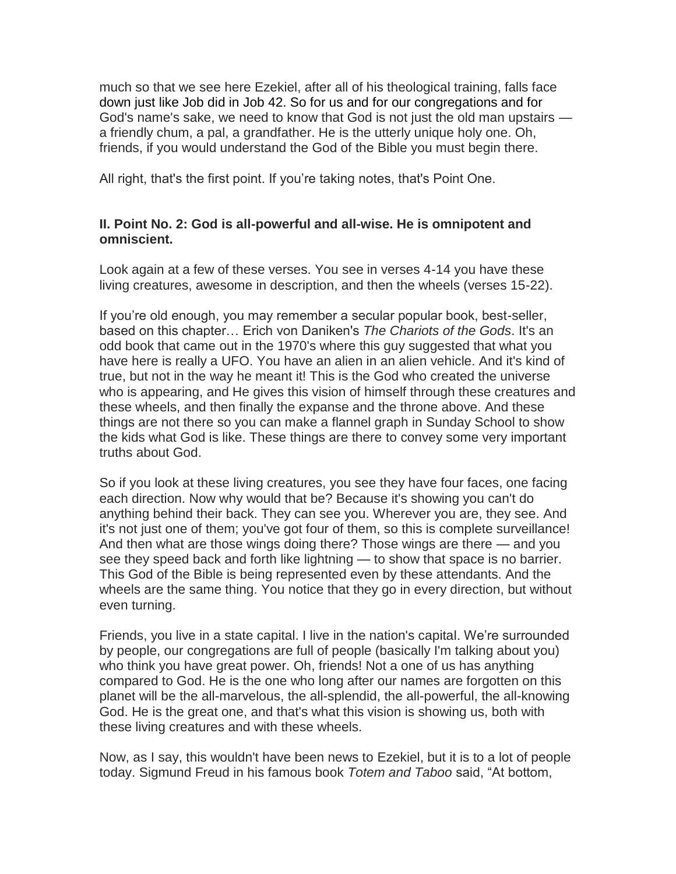much so that we see here Ezekiel, after all of his theological training, falls face down just like Job did in Job 42. So for us and for our congregations and for God's name's sake, we need to know that God is not just the old man upstairs a friendly chum, a pal, a grandfather. He is the utterly unique holy one. Oh, friends, if you would understand the God of the Bible you must begin there.

All right, that's the first point. If you're taking notes, that's Point One.

## **II. Point No. 2: God is all-powerful and all-wise. He is omnipotent and omniscient.**

Look again at a few of these verses. You see in verses 4-14 you have these living creatures, awesome in description, and then the wheels (verses 15-22).

If you're old enough, you may remember a secular popular book, best-seller, based on this chapter… Erich von Daniken's *The Chariots of the Gods*. It's an odd book that came out in the 1970's where this guy suggested that what you have here is really a UFO. You have an alien in an alien vehicle. And it's kind of true, but not in the way he meant it! This is the God who created the universe who is appearing, and He gives this vision of himself through these creatures and these wheels, and then finally the expanse and the throne above. And these things are not there so you can make a flannel graph in Sunday School to show the kids what God is like. These things are there to convey some very important truths about God.

So if you look at these living creatures, you see they have four faces, one facing each direction. Now why would that be? Because it's showing you can't do anything behind their back. They can see you. Wherever you are, they see. And it's not just one of them; you've got four of them, so this is complete surveillance! And then what are those wings doing there? Those wings are there — and you see they speed back and forth like lightning — to show that space is no barrier. This God of the Bible is being represented even by these attendants. And the wheels are the same thing. You notice that they go in every direction, but without even turning.

Friends, you live in a state capital. I live in the nation's capital. We're surrounded by people, our congregations are full of people (basically I'm talking about you) who think you have great power. Oh, friends! Not a one of us has anything compared to God. He is the one who long after our names are forgotten on this planet will be the all-marvelous, the all-splendid, the all-powerful, the all-knowing God. He is the great one, and that's what this vision is showing us, both with these living creatures and with these wheels.

Now, as I say, this wouldn't have been news to Ezekiel, but it is to a lot of people today. Sigmund Freud in his famous book *Totem and Taboo* said, "At bottom,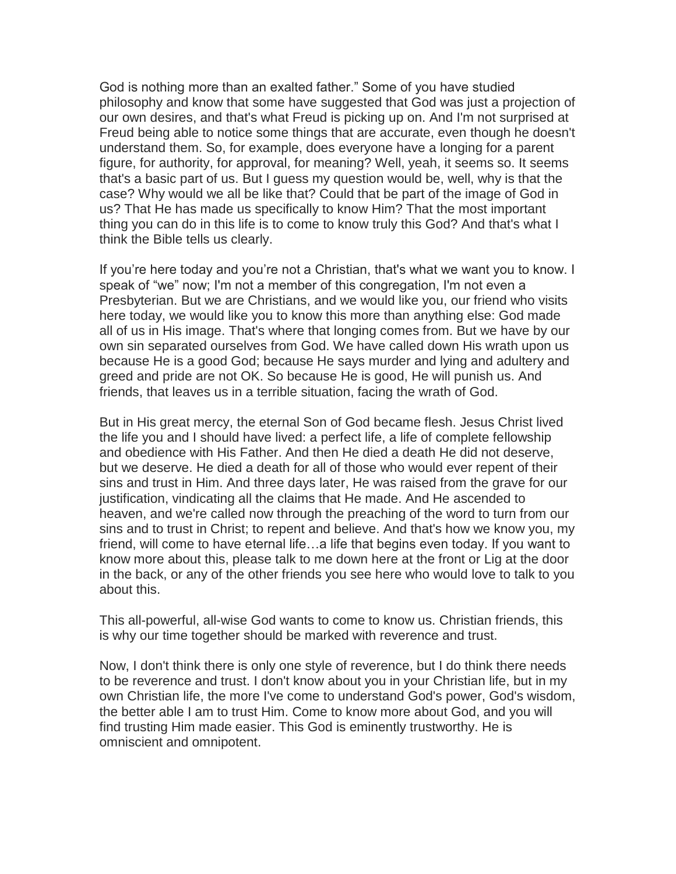God is nothing more than an exalted father." Some of you have studied philosophy and know that some have suggested that God was just a projection of our own desires, and that's what Freud is picking up on. And I'm not surprised at Freud being able to notice some things that are accurate, even though he doesn't understand them. So, for example, does everyone have a longing for a parent figure, for authority, for approval, for meaning? Well, yeah, it seems so. It seems that's a basic part of us. But I guess my question would be, well, why is that the case? Why would we all be like that? Could that be part of the image of God in us? That He has made us specifically to know Him? That the most important thing you can do in this life is to come to know truly this God? And that's what I think the Bible tells us clearly.

If you're here today and you're not a Christian, that's what we want you to know. I speak of "we" now; I'm not a member of this congregation, I'm not even a Presbyterian. But we are Christians, and we would like you, our friend who visits here today, we would like you to know this more than anything else: God made all of us in His image. That's where that longing comes from. But we have by our own sin separated ourselves from God. We have called down His wrath upon us because He is a good God; because He says murder and lying and adultery and greed and pride are not OK. So because He is good, He will punish us. And friends, that leaves us in a terrible situation, facing the wrath of God.

But in His great mercy, the eternal Son of God became flesh. Jesus Christ lived the life you and I should have lived: a perfect life, a life of complete fellowship and obedience with His Father. And then He died a death He did not deserve, but we deserve. He died a death for all of those who would ever repent of their sins and trust in Him. And three days later, He was raised from the grave for our justification, vindicating all the claims that He made. And He ascended to heaven, and we're called now through the preaching of the word to turn from our sins and to trust in Christ; to repent and believe. And that's how we know you, my friend, will come to have eternal life…a life that begins even today. If you want to know more about this, please talk to me down here at the front or Lig at the door in the back, or any of the other friends you see here who would love to talk to you about this.

This all-powerful, all-wise God wants to come to know us. Christian friends, this is why our time together should be marked with reverence and trust.

Now, I don't think there is only one style of reverence, but I do think there needs to be reverence and trust. I don't know about you in your Christian life, but in my own Christian life, the more I've come to understand God's power, God's wisdom, the better able I am to trust Him. Come to know more about God, and you will find trusting Him made easier. This God is eminently trustworthy. He is omniscient and omnipotent.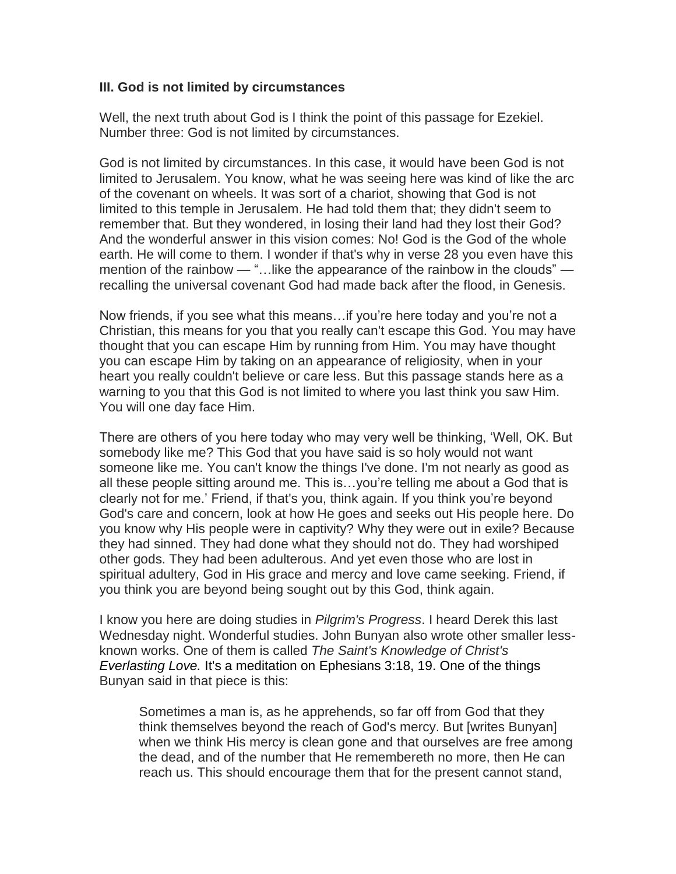### **III. God is not limited by circumstances**

Well, the next truth about God is I think the point of this passage for Ezekiel. Number three: God is not limited by circumstances.

God is not limited by circumstances. In this case, it would have been God is not limited to Jerusalem. You know, what he was seeing here was kind of like the arc of the covenant on wheels. It was sort of a chariot, showing that God is not limited to this temple in Jerusalem. He had told them that; they didn't seem to remember that. But they wondered, in losing their land had they lost their God? And the wonderful answer in this vision comes: No! God is the God of the whole earth. He will come to them. I wonder if that's why in verse 28 you even have this mention of the rainbow — "...like the appearance of the rainbow in the clouds" recalling the universal covenant God had made back after the flood, in Genesis.

Now friends, if you see what this means…if you're here today and you're not a Christian, this means for you that you really can't escape this God. You may have thought that you can escape Him by running from Him. You may have thought you can escape Him by taking on an appearance of religiosity, when in your heart you really couldn't believe or care less. But this passage stands here as a warning to you that this God is not limited to where you last think you saw Him. You will one day face Him.

There are others of you here today who may very well be thinking, 'Well, OK. But somebody like me? This God that you have said is so holy would not want someone like me. You can't know the things I've done. I'm not nearly as good as all these people sitting around me. This is…you're telling me about a God that is clearly not for me.' Friend, if that's you, think again. If you think you're beyond God's care and concern, look at how He goes and seeks out His people here. Do you know why His people were in captivity? Why they were out in exile? Because they had sinned. They had done what they should not do. They had worshiped other gods. They had been adulterous. And yet even those who are lost in spiritual adultery, God in His grace and mercy and love came seeking. Friend, if you think you are beyond being sought out by this God, think again.

I know you here are doing studies in *Pilgrim's Progress*. I heard Derek this last Wednesday night. Wonderful studies. John Bunyan also wrote other smaller lessknown works. One of them is called *The Saint's Knowledge of Christ's Everlasting Love.* It's a meditation on Ephesians 3:18, 19. One of the things Bunyan said in that piece is this:

Sometimes a man is, as he apprehends, so far off from God that they think themselves beyond the reach of God's mercy. But [writes Bunyan] when we think His mercy is clean gone and that ourselves are free among the dead, and of the number that He remembereth no more, then He can reach us. This should encourage them that for the present cannot stand,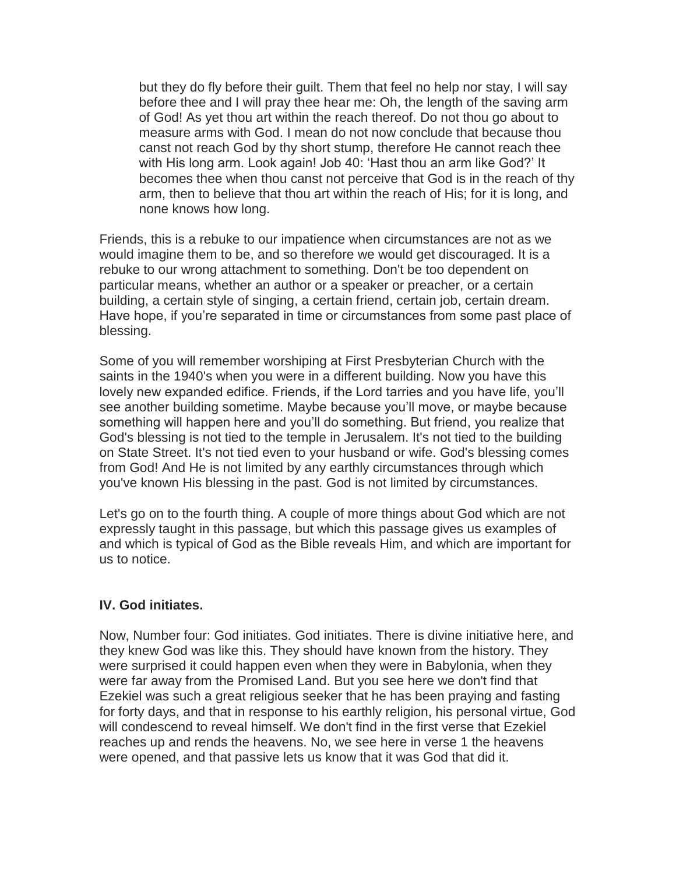but they do fly before their guilt. Them that feel no help nor stay, I will say before thee and I will pray thee hear me: Oh, the length of the saving arm of God! As yet thou art within the reach thereof. Do not thou go about to measure arms with God. I mean do not now conclude that because thou canst not reach God by thy short stump, therefore He cannot reach thee with His long arm. Look again! Job 40: 'Hast thou an arm like God?' It becomes thee when thou canst not perceive that God is in the reach of thy arm, then to believe that thou art within the reach of His; for it is long, and none knows how long.

Friends, this is a rebuke to our impatience when circumstances are not as we would imagine them to be, and so therefore we would get discouraged. It is a rebuke to our wrong attachment to something. Don't be too dependent on particular means, whether an author or a speaker or preacher, or a certain building, a certain style of singing, a certain friend, certain job, certain dream. Have hope, if you're separated in time or circumstances from some past place of blessing.

Some of you will remember worshiping at First Presbyterian Church with the saints in the 1940's when you were in a different building. Now you have this lovely new expanded edifice. Friends, if the Lord tarries and you have life, you'll see another building sometime. Maybe because you'll move, or maybe because something will happen here and you'll do something. But friend, you realize that God's blessing is not tied to the temple in Jerusalem. It's not tied to the building on State Street. It's not tied even to your husband or wife. God's blessing comes from God! And He is not limited by any earthly circumstances through which you've known His blessing in the past. God is not limited by circumstances.

Let's go on to the fourth thing. A couple of more things about God which are not expressly taught in this passage, but which this passage gives us examples of and which is typical of God as the Bible reveals Him, and which are important for us to notice.

### **IV. God initiates.**

Now, Number four: God initiates. God initiates. There is divine initiative here, and they knew God was like this. They should have known from the history. They were surprised it could happen even when they were in Babylonia, when they were far away from the Promised Land. But you see here we don't find that Ezekiel was such a great religious seeker that he has been praying and fasting for forty days, and that in response to his earthly religion, his personal virtue, God will condescend to reveal himself. We don't find in the first verse that Ezekiel reaches up and rends the heavens. No, we see here in verse 1 the heavens were opened, and that passive lets us know that it was God that did it.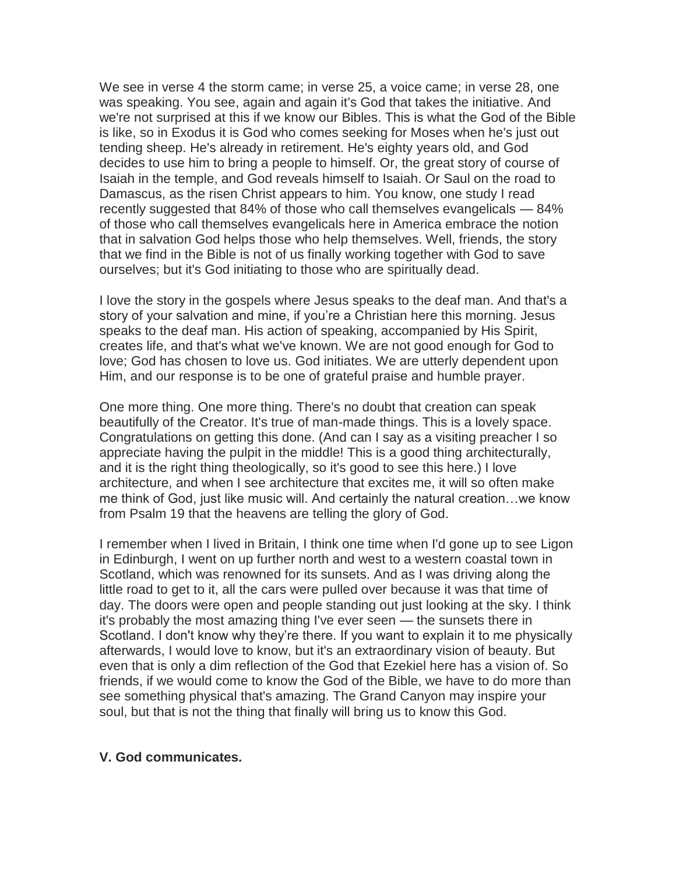We see in verse 4 the storm came; in verse 25, a voice came; in verse 28, one was speaking. You see, again and again it's God that takes the initiative. And we're not surprised at this if we know our Bibles. This is what the God of the Bible is like, so in Exodus it is God who comes seeking for Moses when he's just out tending sheep. He's already in retirement. He's eighty years old, and God decides to use him to bring a people to himself. Or, the great story of course of Isaiah in the temple, and God reveals himself to Isaiah. Or Saul on the road to Damascus, as the risen Christ appears to him. You know, one study I read recently suggested that 84% of those who call themselves evangelicals — 84% of those who call themselves evangelicals here in America embrace the notion that in salvation God helps those who help themselves. Well, friends, the story that we find in the Bible is not of us finally working together with God to save ourselves; but it's God initiating to those who are spiritually dead.

I love the story in the gospels where Jesus speaks to the deaf man. And that's a story of your salvation and mine, if you're a Christian here this morning. Jesus speaks to the deaf man. His action of speaking, accompanied by His Spirit, creates life, and that's what we've known. We are not good enough for God to love; God has chosen to love us. God initiates. We are utterly dependent upon Him, and our response is to be one of grateful praise and humble prayer.

One more thing. One more thing. There's no doubt that creation can speak beautifully of the Creator. It's true of man-made things. This is a lovely space. Congratulations on getting this done. (And can I say as a visiting preacher I so appreciate having the pulpit in the middle! This is a good thing architecturally, and it is the right thing theologically, so it's good to see this here.) I love architecture, and when I see architecture that excites me, it will so often make me think of God, just like music will. And certainly the natural creation…we know from Psalm 19 that the heavens are telling the glory of God.

I remember when I lived in Britain, I think one time when I'd gone up to see Ligon in Edinburgh, I went on up further north and west to a western coastal town in Scotland, which was renowned for its sunsets. And as I was driving along the little road to get to it, all the cars were pulled over because it was that time of day. The doors were open and people standing out just looking at the sky. I think it's probably the most amazing thing I've ever seen — the sunsets there in Scotland. I don't know why they're there. If you want to explain it to me physically afterwards, I would love to know, but it's an extraordinary vision of beauty. But even that is only a dim reflection of the God that Ezekiel here has a vision of. So friends, if we would come to know the God of the Bible, we have to do more than see something physical that's amazing. The Grand Canyon may inspire your soul, but that is not the thing that finally will bring us to know this God.

#### **V. God communicates.**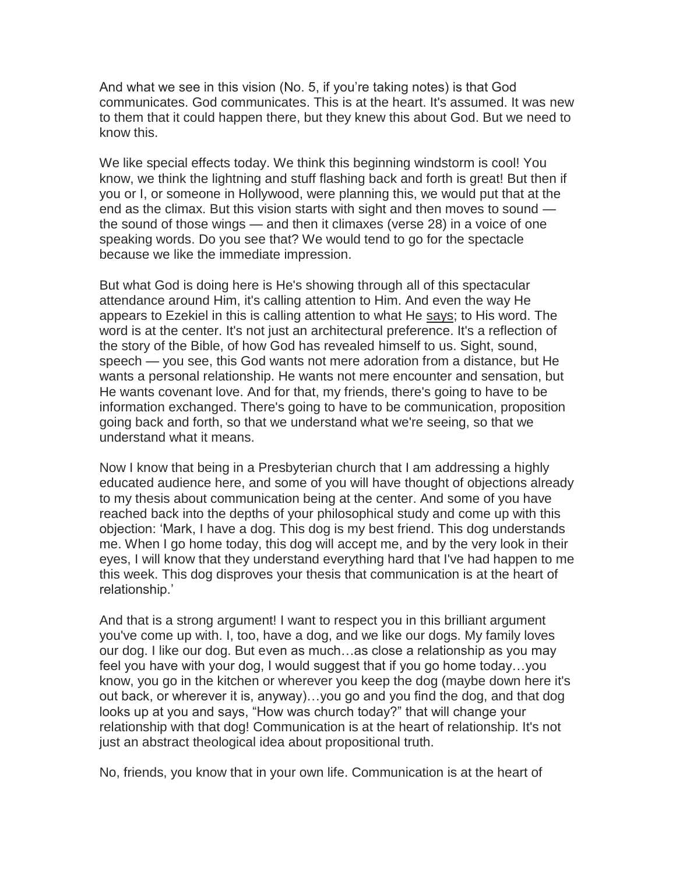And what we see in this vision (No. 5, if you're taking notes) is that God communicates. God communicates. This is at the heart. It's assumed. It was new to them that it could happen there, but they knew this about God. But we need to know this.

We like special effects today. We think this beginning windstorm is cool! You know, we think the lightning and stuff flashing back and forth is great! But then if you or I, or someone in Hollywood, were planning this, we would put that at the end as the climax. But this vision starts with sight and then moves to sound the sound of those wings — and then it climaxes (verse 28) in a voice of one speaking words. Do you see that? We would tend to go for the spectacle because we like the immediate impression.

But what God is doing here is He's showing through all of this spectacular attendance around Him, it's calling attention to Him. And even the way He appears to Ezekiel in this is calling attention to what He says; to His word. The word is at the center. It's not just an architectural preference. It's a reflection of the story of the Bible, of how God has revealed himself to us. Sight, sound, speech — you see, this God wants not mere adoration from a distance, but He wants a personal relationship. He wants not mere encounter and sensation, but He wants covenant love. And for that, my friends, there's going to have to be information exchanged. There's going to have to be communication, proposition going back and forth, so that we understand what we're seeing, so that we understand what it means.

Now I know that being in a Presbyterian church that I am addressing a highly educated audience here, and some of you will have thought of objections already to my thesis about communication being at the center. And some of you have reached back into the depths of your philosophical study and come up with this objection: 'Mark, I have a dog. This dog is my best friend. This dog understands me. When I go home today, this dog will accept me, and by the very look in their eyes, I will know that they understand everything hard that I've had happen to me this week. This dog disproves your thesis that communication is at the heart of relationship.'

And that is a strong argument! I want to respect you in this brilliant argument you've come up with. I, too, have a dog, and we like our dogs. My family loves our dog. I like our dog. But even as much…as close a relationship as you may feel you have with your dog, I would suggest that if you go home today…you know, you go in the kitchen or wherever you keep the dog (maybe down here it's out back, or wherever it is, anyway)…you go and you find the dog, and that dog looks up at you and says, "How was church today?" that will change your relationship with that dog! Communication is at the heart of relationship. It's not just an abstract theological idea about propositional truth.

No, friends, you know that in your own life. Communication is at the heart of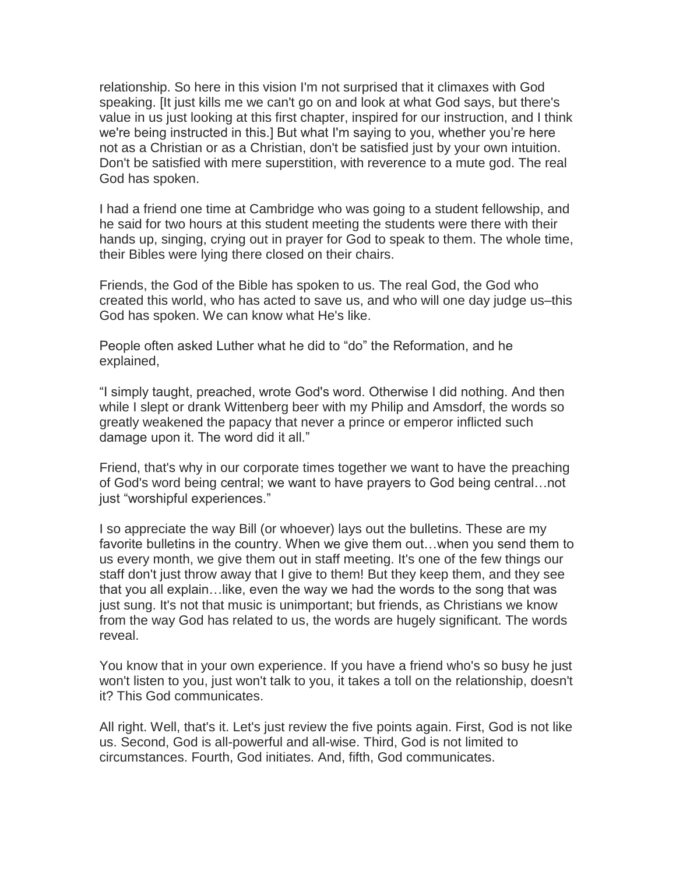relationship. So here in this vision I'm not surprised that it climaxes with God speaking. [It just kills me we can't go on and look at what God says, but there's value in us just looking at this first chapter, inspired for our instruction, and I think we're being instructed in this.] But what I'm saying to you, whether you're here not as a Christian or as a Christian, don't be satisfied just by your own intuition. Don't be satisfied with mere superstition, with reverence to a mute god. The real God has spoken.

I had a friend one time at Cambridge who was going to a student fellowship, and he said for two hours at this student meeting the students were there with their hands up, singing, crying out in prayer for God to speak to them. The whole time, their Bibles were lying there closed on their chairs.

Friends, the God of the Bible has spoken to us. The real God, the God who created this world, who has acted to save us, and who will one day judge us–this God has spoken. We can know what He's like.

People often asked Luther what he did to "do" the Reformation, and he explained,

"I simply taught, preached, wrote God's word. Otherwise I did nothing. And then while I slept or drank Wittenberg beer with my Philip and Amsdorf, the words so greatly weakened the papacy that never a prince or emperor inflicted such damage upon it. The word did it all."

Friend, that's why in our corporate times together we want to have the preaching of God's word being central; we want to have prayers to God being central…not just "worshipful experiences."

I so appreciate the way Bill (or whoever) lays out the bulletins. These are my favorite bulletins in the country. When we give them out…when you send them to us every month, we give them out in staff meeting. It's one of the few things our staff don't just throw away that I give to them! But they keep them, and they see that you all explain…like, even the way we had the words to the song that was just sung. It's not that music is unimportant; but friends, as Christians we know from the way God has related to us, the words are hugely significant. The words reveal.

You know that in your own experience. If you have a friend who's so busy he just won't listen to you, just won't talk to you, it takes a toll on the relationship, doesn't it? This God communicates.

All right. Well, that's it. Let's just review the five points again. First, God is not like us. Second, God is all-powerful and all-wise. Third, God is not limited to circumstances. Fourth, God initiates. And, fifth, God communicates.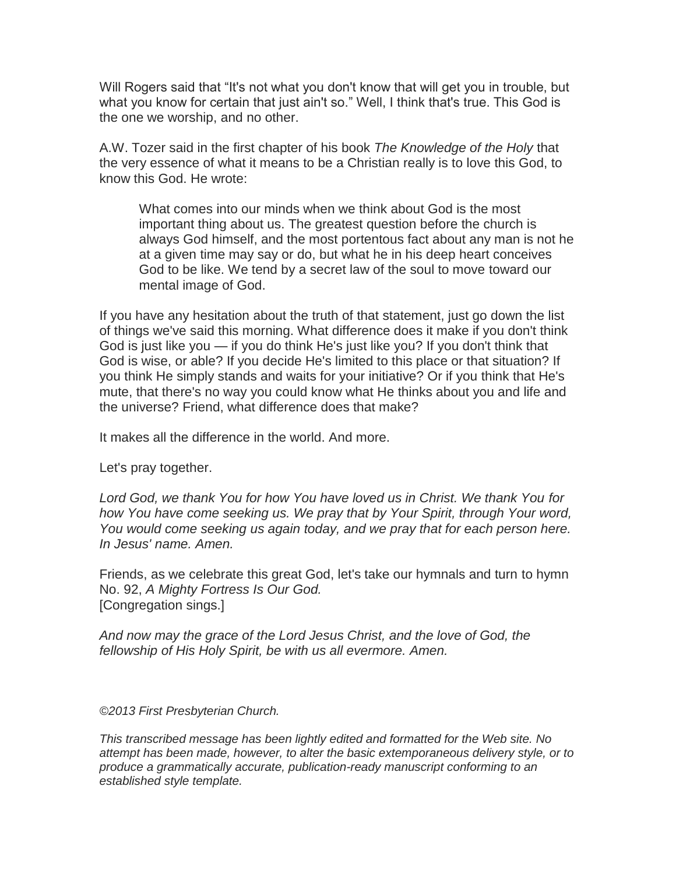Will Rogers said that "It's not what you don't know that will get you in trouble, but what you know for certain that just ain't so." Well, I think that's true. This God is the one we worship, and no other.

A.W. Tozer said in the first chapter of his book *The Knowledge of the Holy* that the very essence of what it means to be a Christian really is to love this God, to know this God. He wrote:

What comes into our minds when we think about God is the most important thing about us. The greatest question before the church is always God himself, and the most portentous fact about any man is not he at a given time may say or do, but what he in his deep heart conceives God to be like. We tend by a secret law of the soul to move toward our mental image of God.

If you have any hesitation about the truth of that statement, just go down the list of things we've said this morning. What difference does it make if you don't think God is just like you — if you do think He's just like you? If you don't think that God is wise, or able? If you decide He's limited to this place or that situation? If you think He simply stands and waits for your initiative? Or if you think that He's mute, that there's no way you could know what He thinks about you and life and the universe? Friend, what difference does that make?

It makes all the difference in the world. And more.

Let's pray together.

*Lord God, we thank You for how You have loved us in Christ. We thank You for how You have come seeking us. We pray that by Your Spirit, through Your word, You would come seeking us again today, and we pray that for each person here. In Jesus' name. Amen.*

Friends, as we celebrate this great God, let's take our hymnals and turn to hymn No. 92, *A Mighty Fortress Is Our God.* [Congregation sings.]

*And now may the grace of the Lord Jesus Christ, and the love of God, the fellowship of His Holy Spirit, be with us all evermore. Amen.*

*©2013 First Presbyterian Church.*

*This transcribed message has been lightly edited and formatted for the Web site. No attempt has been made, however, to alter the basic extemporaneous delivery style, or to produce a grammatically accurate, publication-ready manuscript conforming to an established style template.*